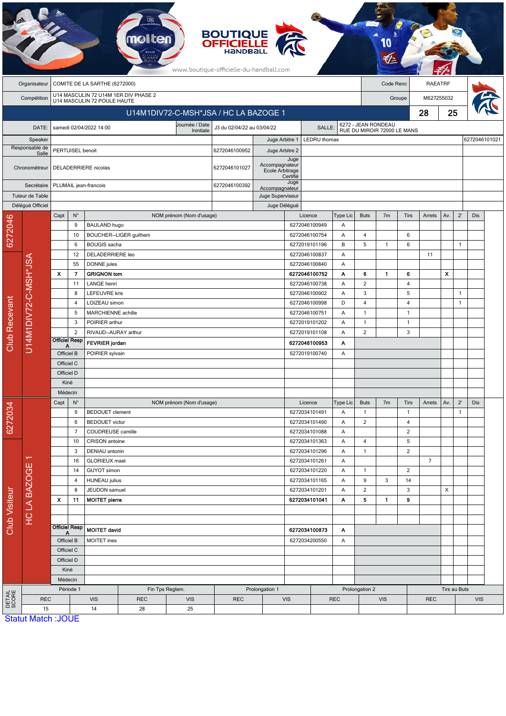|                         |                           |                                       |                               |                                                      |                                       |                | <b>BOUTIQUE<br/>OFFICIELLE</b><br>www.boutique-officielle-du-handball.com |                                                                  |                          |                                |                      |                             |                                                    |                        |            |              |                              |     |  |
|-------------------------|---------------------------|---------------------------------------|-------------------------------|------------------------------------------------------|---------------------------------------|----------------|---------------------------------------------------------------------------|------------------------------------------------------------------|--------------------------|--------------------------------|----------------------|-----------------------------|----------------------------------------------------|------------------------|------------|--------------|------------------------------|-----|--|
|                         | Organisateur              |                                       | COMITE DE LA SARTHE (6272000) |                                                      |                                       |                |                                                                           |                                                                  |                          |                                |                      | Code Renc                   | <b>RAEATRF</b>                                     |                        |            |              |                              |     |  |
|                         | Compétition               |                                       |                               | U14 MASCULIN 72 POULE HAUTE                          | U14 MASCULIN 72 U14M 1ER DIV PHASE 2  |                |                                                                           |                                                                  |                          |                                |                      | Groupe                      |                                                    |                        | M627255032 |              |                              |     |  |
|                         |                           | U14M1DIV72-C-MSH*JSA / HC LA BAZOGE 1 |                               |                                                      |                                       |                |                                                                           |                                                                  |                          |                                |                      |                             | 28                                                 |                        |            | 25           |                              |     |  |
|                         | DATE:                     |                                       |                               | samedi 02/04/2022 14:00                              |                                       | Journée / Date | J3 du 02/04/22 au 03/04/22                                                |                                                                  |                          | SALLE:                         |                      |                             | 6272 - JEAN RONDEAU<br>RUE DU MIROIR 72000 LE MANS |                        |            |              |                              |     |  |
| Speaker                 |                           |                                       |                               |                                                      |                                       | Inintiale      |                                                                           | Juge Arbitre 1                                                   |                          | LEDRU thomas                   |                      |                             |                                                    |                        |            |              | 6272046101021                |     |  |
| Responsable de<br>Salle |                           |                                       | PERTUISEL benoit              |                                                      |                                       | 6272046100952  | Juge Arbitre 2                                                            |                                                                  |                          |                                |                      |                             |                                                    |                        |            |              |                              |     |  |
|                         | Chronométreur             |                                       |                               | DELADERRIERE nicolas                                 |                                       |                | 6272046101027                                                             | Accompagnateur<br>Ecole Arbitrage                                | Juge<br>Certifié         |                                |                      |                             |                                                    |                        |            |              |                              |     |  |
| Secrétaire              |                           |                                       |                               | PLUMAIL jean-francois                                |                                       | 6272046100392  | Accompagnateur                                                            | Juge                                                             |                          |                                |                      |                             |                                                    |                        |            |              |                              |     |  |
| Tuteur de Table         |                           |                                       |                               |                                                      |                                       |                |                                                                           | Juge Superviseur                                                 |                          |                                |                      |                             |                                                    |                        |            |              |                              |     |  |
| Délégué Officiel        |                           |                                       | $\mathsf{N}^\circ$            | NOM prénom (Nom d'usage)                             |                                       |                |                                                                           | Juge Délégué                                                     |                          |                                |                      |                             |                                                    |                        |            |              |                              |     |  |
| 6272046                 |                           | Capt                                  | 9                             | <b>BAULAND hugo</b>                                  |                                       |                |                                                                           |                                                                  | Licence<br>6272046100949 |                                | <b>Type Lic</b><br>Α | <b>Buts</b>                 | 7 <sub>m</sub>                                     | <b>Tirs</b>            | Arrets     | Av.          | $2^{\prime}$                 | Dis |  |
|                         |                           |                                       | 10                            |                                                      | BOUCHER--LIGER guilhem                |                |                                                                           |                                                                  | 6272046100754            |                                | Α                    | 4                           |                                                    | 6                      |            |              |                              |     |  |
|                         |                           |                                       | <b>BOUGIS</b> sacha<br>6      |                                                      |                                       | 6272019101196  |                                                                           | B                                                                | 5                        | $\mathbf{1}$                   | 6                    |                             |                                                    | $\mathbf{1}$           |            |              |                              |     |  |
|                         |                           |                                       | 12                            | DELADERRIERE leo                                     |                                       |                | 6272046100837                                                             |                                                                  | Α                        |                                |                      |                             | 11                                                 |                        |            |              |                              |     |  |
|                         |                           |                                       | 55                            | DONNE jules                                          |                                       |                |                                                                           | 6272046100840                                                    | Α                        |                                |                      |                             |                                                    |                        |            |              |                              |     |  |
|                         |                           | X                                     | $\overline{\phantom{a}}$      | <b>GRIGNON tom</b>                                   |                                       |                |                                                                           |                                                                  | 6272046100752            |                                | Α                    | 6                           | 1                                                  | 6                      |            | X            |                              |     |  |
|                         | U14M1DIV72-C-MSH*JSA      |                                       | 11<br>8                       | <b>LANGE</b> henri                                   |                                       |                |                                                                           |                                                                  | 6272046100738            |                                | Α<br>Α               | $\overline{2}$<br>3         |                                                    | $\overline{4}$<br>5    |            |              | $\mathbf{1}$                 |     |  |
|                         |                           |                                       | 4                             |                                                      | <b>LEFEUVRE kris</b><br>LOIZEAU simon |                |                                                                           |                                                                  |                          | 6272046100902<br>6272046100998 |                      | $\overline{4}$              |                                                    | 4                      |            |              | $\mathbf{1}$                 |     |  |
|                         |                           |                                       | 5                             | MARCHIENNE achille                                   |                                       |                |                                                                           |                                                                  | 6272046100751            |                                | D<br>Α               | $\mathbf{1}$                |                                                    | $\mathbf{1}$           |            |              |                              |     |  |
|                         |                           |                                       | 3                             | POIRIER arthur                                       |                                       |                |                                                                           |                                                                  | 6272019101202            |                                | Α                    | $\mathbf{1}$                |                                                    | $\mathbf{1}$           |            |              |                              |     |  |
|                         |                           |                                       | $\overline{2}$                | RIVAUD--AURAY arthur                                 |                                       |                |                                                                           |                                                                  | 6272019101108            |                                | $\overline{2}$       |                             | 3                                                  |                        |            |              |                              |     |  |
| <b>Club Recevant</b>    |                           |                                       | <b>Officiel Resp</b><br>Α     | <b>FEVRIER</b> jordan                                |                                       |                |                                                                           | 6272046100953                                                    |                          | Α                              |                      |                             |                                                    |                        |            |              |                              |     |  |
|                         |                           |                                       | Officiel B                    | POIRIER sylvain                                      |                                       |                |                                                                           | 6272019100740                                                    |                          | Α                              |                      |                             |                                                    |                        |            |              |                              |     |  |
|                         |                           | Officiel C                            |                               |                                                      |                                       |                |                                                                           |                                                                  |                          |                                |                      |                             |                                                    |                        |            |              |                              |     |  |
|                         |                           | Officiel D                            |                               |                                                      |                                       |                |                                                                           |                                                                  |                          |                                |                      |                             |                                                    |                        |            |              |                              |     |  |
|                         |                           |                                       | Kiné                          |                                                      |                                       |                |                                                                           |                                                                  |                          |                                |                      |                             |                                                    |                        |            |              |                              |     |  |
|                         |                           |                                       | Médecin                       |                                                      | NOM prénom (Nom d'usage)              |                |                                                                           |                                                                  |                          |                                |                      |                             |                                                    |                        |            |              |                              |     |  |
|                         |                           | Capt                                  | $N^{\circ}$<br>9              | <b>BEDOUET</b> clement                               |                                       |                |                                                                           |                                                                  | Licence<br>6272034101491 |                                | Type Lic<br>Α        | <b>Buts</b><br>$\mathbf{1}$ | 7m                                                 | Tirs<br>$\overline{1}$ | Arrets     | Av.          | $2^{\prime}$<br>$\mathbf{1}$ | Dis |  |
| 6272034                 |                           |                                       | 6                             | <b>BEDOUET</b> victor                                |                                       |                |                                                                           |                                                                  | 6272034101490            |                                | Α                    | $\overline{c}$              |                                                    | 4                      |            |              |                              |     |  |
|                         |                           |                                       | 7                             |                                                      | COUDREUSE camille                     |                |                                                                           |                                                                  | 6272034101088            |                                | Α                    |                             |                                                    | $\overline{2}$         |            |              |                              |     |  |
| Club Visiteur           |                           |                                       | 10                            | CRISON antoine                                       |                                       |                |                                                                           |                                                                  | 6272034101363            |                                | Α                    | 4                           |                                                    | 5                      |            |              |                              |     |  |
|                         |                           |                                       | 3                             | DENIAU antonin                                       |                                       |                |                                                                           |                                                                  | 6272034101296            |                                | Α                    | $\mathbf{1}$                |                                                    | $\overline{2}$         |            |              |                              |     |  |
|                         | ┯                         |                                       | 16                            | <b>GLORIEUX</b> mael                                 |                                       |                |                                                                           | 6272034101261<br>6272034101220<br>6272034101165<br>6272034101201 |                          | Α                              |                      |                             |                                                    | $\overline{7}$         |            |              |                              |     |  |
|                         | <b>HCLA BAZOGE</b>        |                                       |                               | 14<br><b>GUYOT</b> simon                             |                                       |                | Α                                                                         |                                                                  |                          | $\mathbf{1}$                   |                      | $\sqrt{2}$                  |                                                    |                        |            |              |                              |     |  |
|                         |                           |                                       | 8                             | <b>HUNEAU</b> julius<br>4<br>JEUDON samuel           |                                       |                |                                                                           |                                                                  |                          |                                | A<br>Α               | 9<br>$\overline{2}$         | 3                                                  | 14<br>$\sqrt{3}$       |            | X            |                              |     |  |
|                         |                           | $\boldsymbol{\mathsf{x}}$             | 11                            | <b>MOITET pierre</b>                                 |                                       |                |                                                                           |                                                                  | 6272034101041            |                                | Α                    | 5                           | $\mathbf{1}$                                       | 9                      |            |              |                              |     |  |
|                         |                           |                                       |                               |                                                      |                                       |                |                                                                           |                                                                  |                          |                                |                      |                             |                                                    |                        |            |              |                              |     |  |
|                         |                           |                                       |                               |                                                      |                                       |                |                                                                           |                                                                  |                          |                                |                      |                             |                                                    |                        |            |              |                              |     |  |
|                         |                           |                                       | <b>Officiel Resp</b><br>А     | <b>MOITET david</b><br>MOITET ines                   |                                       |                |                                                                           | 6272034100873<br>6272034200550                                   |                          | Α                              |                      |                             |                                                    |                        |            |              |                              |     |  |
|                         |                           |                                       | Officiel B                    |                                                      |                                       |                |                                                                           |                                                                  |                          | Α                              |                      |                             |                                                    |                        |            |              |                              |     |  |
|                         |                           |                                       | Officiel C                    |                                                      |                                       |                |                                                                           |                                                                  |                          |                                |                      |                             |                                                    |                        |            |              |                              |     |  |
|                         |                           |                                       | Officiel D                    |                                                      |                                       |                |                                                                           |                                                                  |                          |                                |                      |                             |                                                    |                        |            |              |                              |     |  |
|                         |                           |                                       | Kiné<br>Médecin               |                                                      |                                       |                |                                                                           |                                                                  |                          |                                |                      |                             |                                                    |                        |            |              |                              |     |  |
|                         |                           |                                       | Période 1                     |                                                      | Fin Tps Reglem.                       |                |                                                                           | Prolongation 1                                                   | Prolongation 2           |                                |                      |                             |                                                    |                        |            | Tirs au Buts |                              |     |  |
| DETAIL<br>SCORE         | <b>REC</b>                |                                       |                               | <b>VIS</b><br><b>REC</b><br><b>VIS</b><br><b>REC</b> |                                       |                |                                                                           | <b>VIS</b><br><b>REC</b>                                         |                          |                                |                      | <b>VIS</b><br><b>REC</b>    |                                                    |                        |            | <b>VIS</b>   |                              |     |  |
|                         | 15                        |                                       |                               | 14                                                   | 28                                    | 25             |                                                                           |                                                                  |                          |                                |                      |                             |                                                    |                        |            |              |                              |     |  |
|                         | <b>Statut Match: JOUE</b> |                                       |                               |                                                      |                                       |                |                                                                           |                                                                  |                          |                                |                      |                             |                                                    |                        |            |              |                              |     |  |

-20